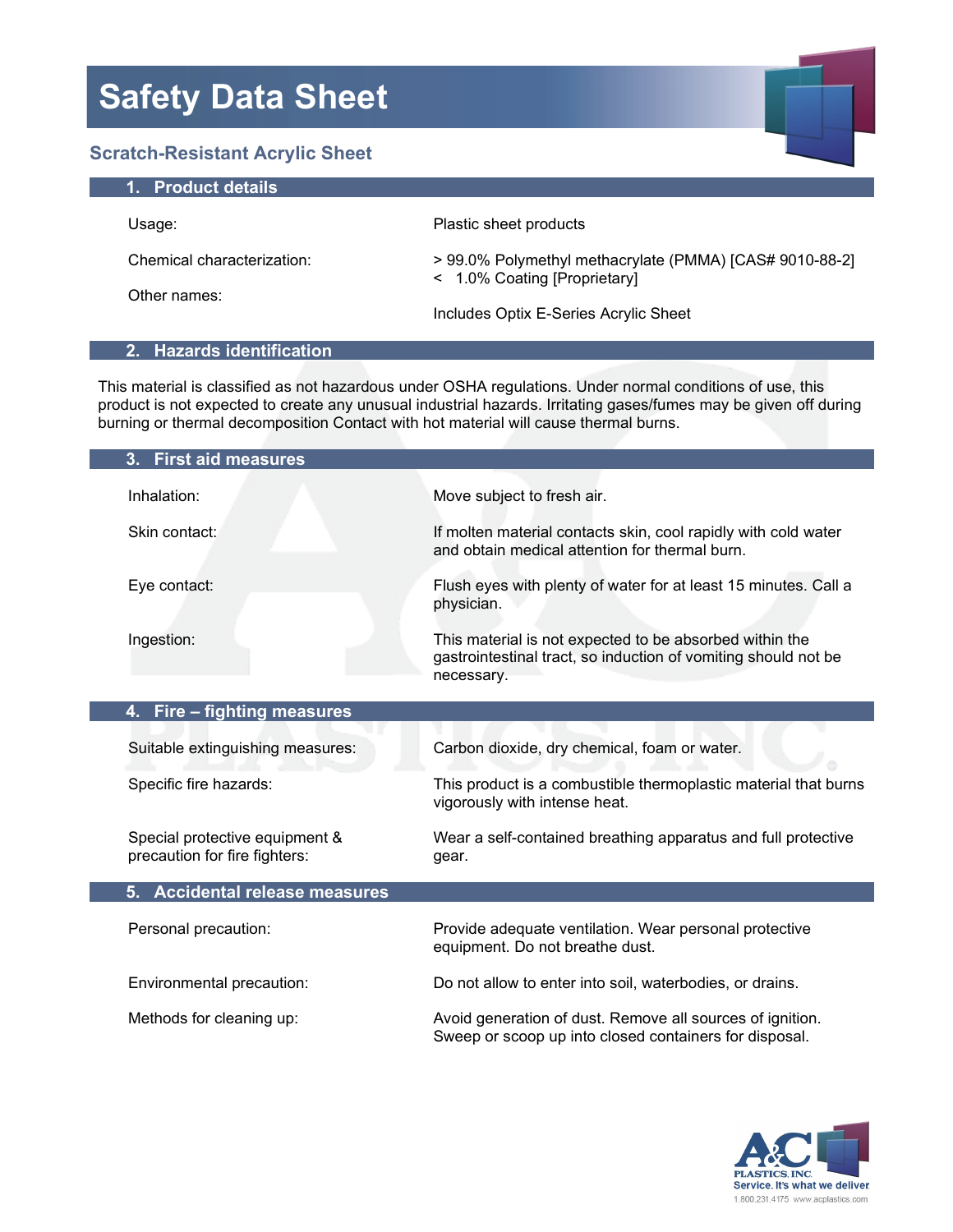### **Safety Data Sheet Scratch-Resistant Acrylic Sheet 1. Product details** Usage: Plastic sheet products

Chemical characterization:

Other names:

> 99.0% Polymethyl methacrylate (PMMA) [CAS# 9010-88-2] < 1.0% Coating [Proprietary]

Includes Optix E-Series Acrylic Sheet

### **2. Hazards identification**

This material is classified as not hazardous under OSHA regulations. Under normal conditions of use, this product is not expected to create any unusual industrial hazards. Irritating gases/fumes may be given off during burning or thermal decomposition Contact with hot material will cause thermal burns.

| 3. First aid measures                                           |                                                                                                                                         |
|-----------------------------------------------------------------|-----------------------------------------------------------------------------------------------------------------------------------------|
| Inhalation:                                                     | Move subject to fresh air.                                                                                                              |
| Skin contact:                                                   | If molten material contacts skin, cool rapidly with cold water<br>and obtain medical attention for thermal burn.                        |
| Eye contact:                                                    | Flush eyes with plenty of water for at least 15 minutes. Call a<br>physician.                                                           |
| Ingestion:                                                      | This material is not expected to be absorbed within the<br>gastrointestinal tract, so induction of vomiting should not be<br>necessary. |
| Fire - fighting measures<br>4.                                  |                                                                                                                                         |
| Suitable extinguishing measures:                                | Carbon dioxide, dry chemical, foam or water.                                                                                            |
| Specific fire hazards:                                          | This product is a combustible thermoplastic material that burns<br>vigorously with intense heat.                                        |
| Special protective equipment &<br>precaution for fire fighters: | Wear a self-contained breathing apparatus and full protective<br>gear.                                                                  |
| 5. Accidental release measures                                  |                                                                                                                                         |
| Personal precaution:                                            | Provide adequate ventilation. Wear personal protective<br>equipment. Do not breathe dust.                                               |
| Environmental precaution:                                       | Do not allow to enter into soil, waterbodies, or drains.                                                                                |
| Methods for cleaning up:                                        | Avoid generation of dust. Remove all sources of ignition.<br>Sweep or scoop up into closed containers for disposal.                     |

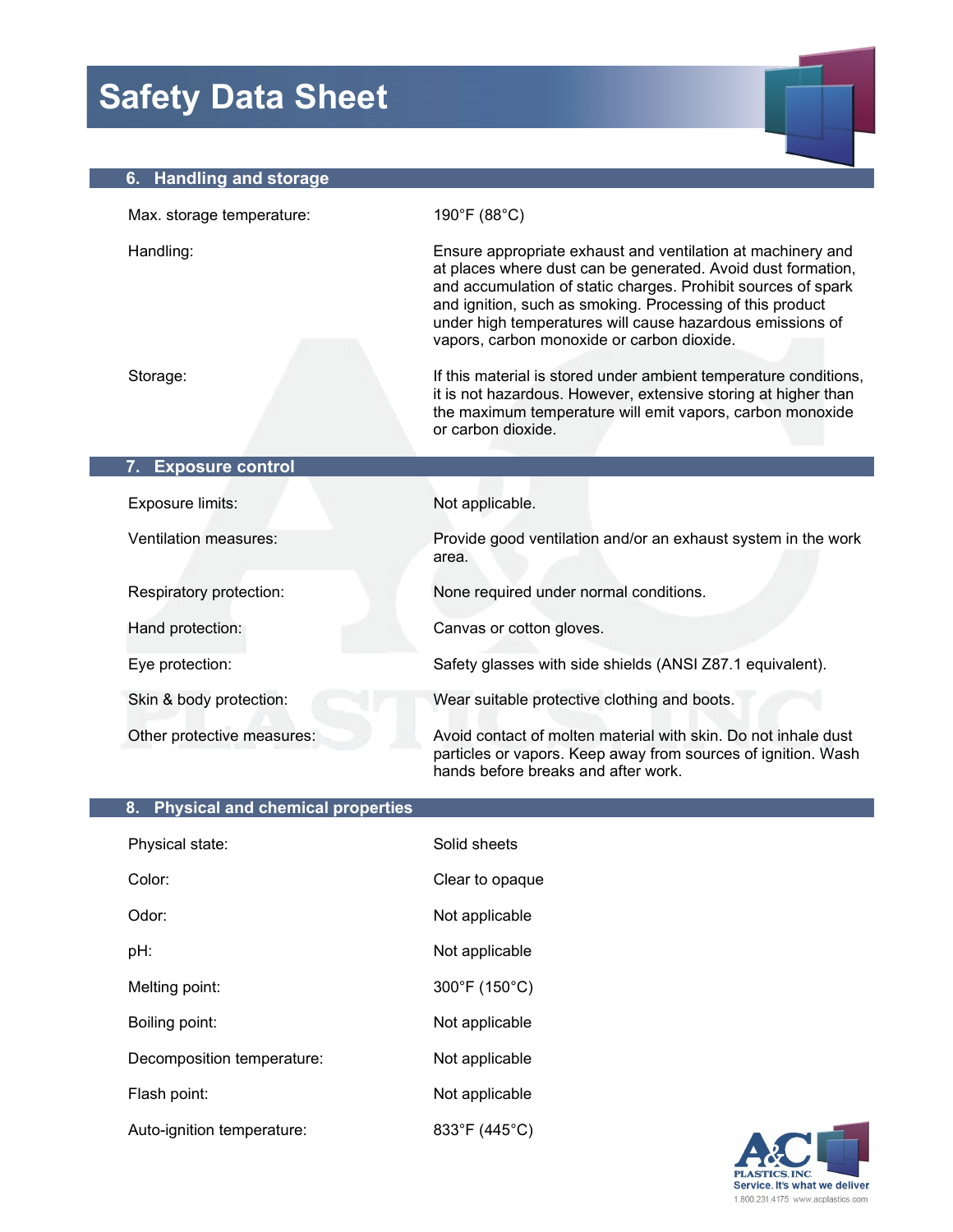# **Safety Data Sheet**

### **6. Handling and storage**

| Max. storage temperature:     | 190°F (88°C)                                                                                                                                                                                                                                                                                                                                                         |
|-------------------------------|----------------------------------------------------------------------------------------------------------------------------------------------------------------------------------------------------------------------------------------------------------------------------------------------------------------------------------------------------------------------|
| Handling:                     | Ensure appropriate exhaust and ventilation at machinery and<br>at places where dust can be generated. Avoid dust formation,<br>and accumulation of static charges. Prohibit sources of spark<br>and ignition, such as smoking. Processing of this product<br>under high temperatures will cause hazardous emissions of<br>vapors, carbon monoxide or carbon dioxide. |
| Storage:                      | If this material is stored under ambient temperature conditions,<br>it is not hazardous. However, extensive storing at higher than<br>the maximum temperature will emit vapors, carbon monoxide<br>or carbon dioxide.                                                                                                                                                |
| <b>Exposure control</b><br>7. |                                                                                                                                                                                                                                                                                                                                                                      |
| Exposure limits:              | Not applicable.                                                                                                                                                                                                                                                                                                                                                      |
| <b>Ventilation measures:</b>  | Provide good ventilation and/or an exhaust system in the work<br>area.                                                                                                                                                                                                                                                                                               |
| Respiratory protection:       | None required under normal conditions.                                                                                                                                                                                                                                                                                                                               |
| Hand protection:              | Canvas or cotton gloves.                                                                                                                                                                                                                                                                                                                                             |
| Eye protection:               | Safety glasses with side shields (ANSI Z87.1 equivalent).                                                                                                                                                                                                                                                                                                            |
| Skin & body protection:       | Wear suitable protective clothing and boots.                                                                                                                                                                                                                                                                                                                         |
| Other protective measures:    | Avoid contact of molten material with skin. Do not inhale dust<br>particles or vapors. Keep away from sources of ignition. Wash<br>hands before breaks and after work.                                                                                                                                                                                               |

| 8. Physical and chemical properties |                 |  |
|-------------------------------------|-----------------|--|
| Physical state:                     | Solid sheets    |  |
| Color:                              | Clear to opaque |  |
| Odor:                               | Not applicable  |  |
| pH:                                 | Not applicable  |  |
| Melting point:                      | 300°F (150°C)   |  |
| Boiling point:                      | Not applicable  |  |
| Decomposition temperature:          | Not applicable  |  |
| Flash point:                        | Not applicable  |  |
| Auto-ignition temperature:          | 833°F (445°C)   |  |
|                                     |                 |  |

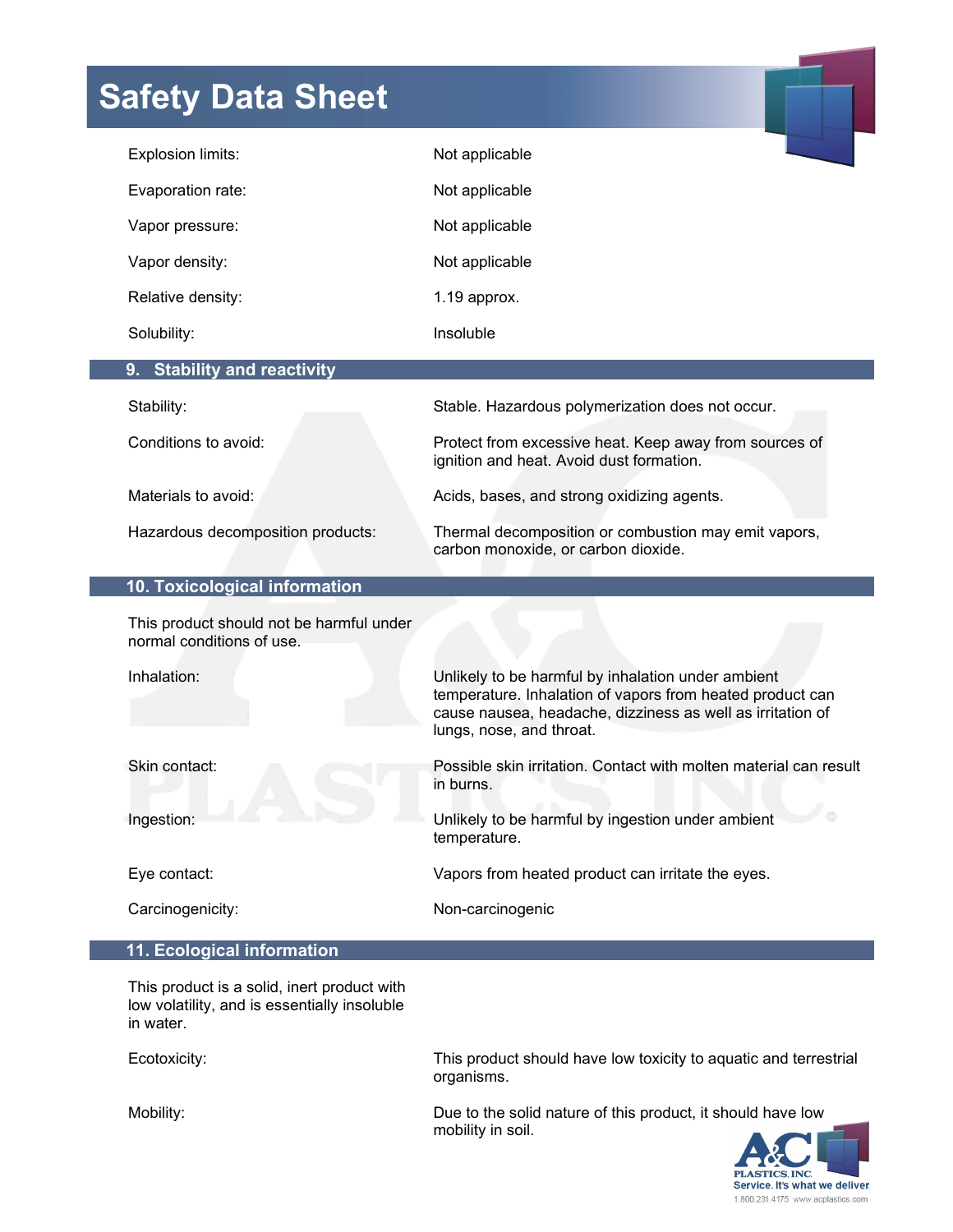## **Safety Data Sheet**

| Explosion limits:                                                     | Not applicable                                                                                                                                                                                            |
|-----------------------------------------------------------------------|-----------------------------------------------------------------------------------------------------------------------------------------------------------------------------------------------------------|
| Evaporation rate:                                                     | Not applicable                                                                                                                                                                                            |
| Vapor pressure:                                                       | Not applicable                                                                                                                                                                                            |
| Vapor density:                                                        | Not applicable                                                                                                                                                                                            |
| Relative density:                                                     | 1.19 approx.                                                                                                                                                                                              |
| Solubility:                                                           | Insoluble                                                                                                                                                                                                 |
| 9. Stability and reactivity                                           |                                                                                                                                                                                                           |
| Stability:                                                            | Stable. Hazardous polymerization does not occur.                                                                                                                                                          |
| Conditions to avoid:                                                  | Protect from excessive heat. Keep away from sources of<br>ignition and heat. Avoid dust formation.                                                                                                        |
| Materials to avoid:                                                   | Acids, bases, and strong oxidizing agents.                                                                                                                                                                |
| Hazardous decomposition products:                                     | Thermal decomposition or combustion may emit vapors,<br>carbon monoxide, or carbon dioxide.                                                                                                               |
| 10. Toxicological information                                         |                                                                                                                                                                                                           |
| This product should not be harmful under<br>normal conditions of use. |                                                                                                                                                                                                           |
| Inhalation:                                                           | Unlikely to be harmful by inhalation under ambient<br>temperature. Inhalation of vapors from heated product can<br>cause nausea, headache, dizziness as well as irritation of<br>lungs, nose, and throat. |
| Skin contact:                                                         | Possible skin irritation. Contact with molten material can result<br>in burns.                                                                                                                            |
| Ingestion:                                                            | Unlikely to be harmful by ingestion under ambient<br>temperature.                                                                                                                                         |
| Eye contact:                                                          | Vapors from heated product can irritate the eyes.                                                                                                                                                         |
| Carcinogenicity:                                                      | Non-carcinogenic                                                                                                                                                                                          |
| 11. Ecological information                                            |                                                                                                                                                                                                           |

 This product is a solid, inert product with low volatility, and is essentially insoluble in water.

Ecotoxicity:

This product should have low toxicity to aquatic and terrestrial organisms.

Mobility:

Due to the solid nature of this product, it should have low mobility in soil.